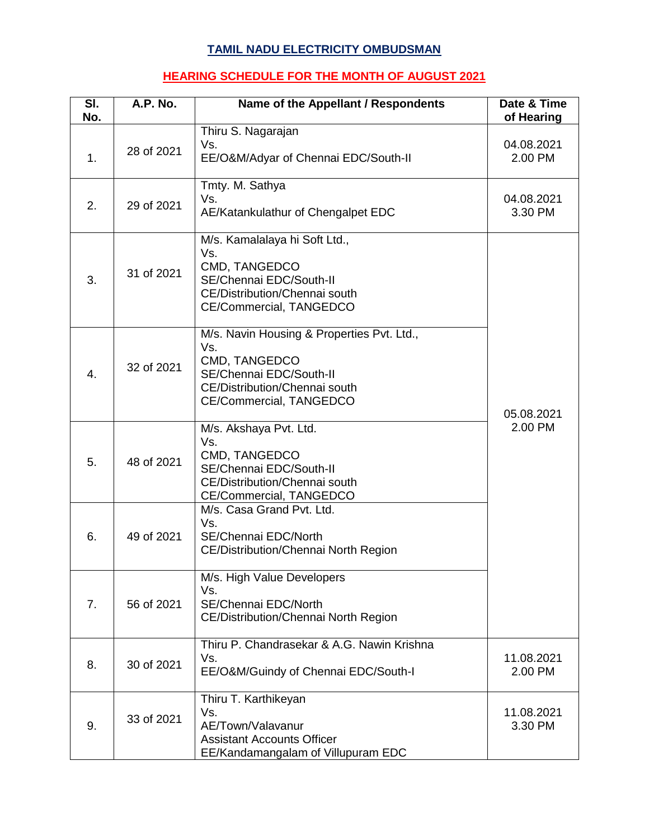## **TAMIL NADU ELECTRICITY OMBUDSMAN**

## **HEARING SCHEDULE FOR THE MONTH OF AUGUST 2021**

| SI.<br>No. | A.P. No.   | Name of the Appellant / Respondents                                                                                                                       | Date & Time<br>of Hearing |
|------------|------------|-----------------------------------------------------------------------------------------------------------------------------------------------------------|---------------------------|
| 1.         | 28 of 2021 | Thiru S. Nagarajan<br>Vs.<br>EE/O&M/Adyar of Chennai EDC/South-II                                                                                         | 04.08.2021<br>2.00 PM     |
| 2.         | 29 of 2021 | Tmty. M. Sathya<br>Vs.<br>AE/Katankulathur of Chengalpet EDC                                                                                              | 04.08.2021<br>3.30 PM     |
| 3.         | 31 of 2021 | M/s. Kamalalaya hi Soft Ltd.,<br>Vs.<br>CMD, TANGEDCO<br>SE/Chennai EDC/South-II<br>CE/Distribution/Chennai south<br>CE/Commercial, TANGEDCO              |                           |
| 4.         | 32 of 2021 | M/s. Navin Housing & Properties Pvt. Ltd.,<br>Vs.<br>CMD, TANGEDCO<br>SE/Chennai EDC/South-II<br>CE/Distribution/Chennai south<br>CE/Commercial, TANGEDCO | 05.08.2021                |
| 5.         | 48 of 2021 | M/s. Akshaya Pvt. Ltd.<br>Vs.<br>CMD, TANGEDCO<br>SE/Chennai EDC/South-II<br>CE/Distribution/Chennai south<br>CE/Commercial, TANGEDCO                     | 2.00 PM                   |
| 6.         | 49 of 2021 | M/s. Casa Grand Pvt. Ltd.<br>Vs.<br>SE/Chennai EDC/North<br>CE/Distribution/Chennai North Region                                                          |                           |
| 7.         | 56 of 2021 | M/s. High Value Developers<br>Vs.<br>SE/Chennai EDC/North<br>CE/Distribution/Chennai North Region                                                         |                           |
| 8.         | 30 of 2021 | Thiru P. Chandrasekar & A.G. Nawin Krishna<br>Vs.<br>EE/O&M/Guindy of Chennai EDC/South-I                                                                 | 11.08.2021<br>2.00 PM     |
| 9.         | 33 of 2021 | Thiru T. Karthikeyan<br>Vs.<br>AE/Town/Valavanur<br><b>Assistant Accounts Officer</b><br>EE/Kandamangalam of Villupuram EDC                               | 11.08.2021<br>3.30 PM     |